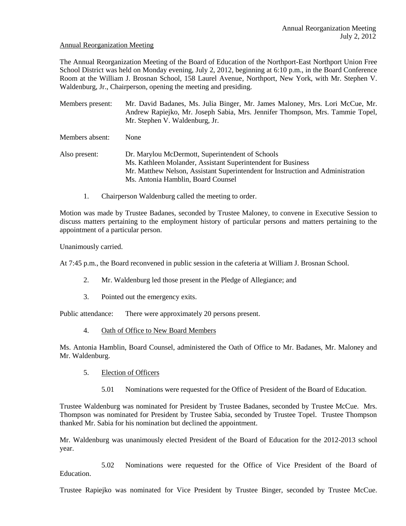#### Annual Reorganization Meeting

The Annual Reorganization Meeting of the Board of Education of the Northport-East Northport Union Free School District was held on Monday evening, July 2, 2012, beginning at 6:10 p.m., in the Board Conference Room at the William J. Brosnan School, 158 Laurel Avenue, Northport, New York, with Mr. Stephen V. Waldenburg, Jr., Chairperson, opening the meeting and presiding.

Members present: Mr. David Badanes, Ms. Julia Binger, Mr. James Maloney, Mrs. Lori McCue, Mr. Andrew Rapiejko, Mr. Joseph Sabia, Mrs. Jennifer Thompson, Mrs. Tammie Topel, Mr. Stephen V. Waldenburg, Jr.

Members absent: None

Also present: Dr. Marylou McDermott, Superintendent of Schools Ms. Kathleen Molander, Assistant Superintendent for Business Mr. Matthew Nelson, Assistant Superintendent for Instruction and Administration Ms. Antonia Hamblin, Board Counsel

1. Chairperson Waldenburg called the meeting to order.

Motion was made by Trustee Badanes, seconded by Trustee Maloney, to convene in Executive Session to discuss matters pertaining to the employment history of particular persons and matters pertaining to the appointment of a particular person.

Unanimously carried.

At 7:45 p.m., the Board reconvened in public session in the cafeteria at William J. Brosnan School.

- 2. Mr. Waldenburg led those present in the Pledge of Allegiance; and
- 3. Pointed out the emergency exits.

Public attendance: There were approximately 20 persons present.

4. Oath of Office to New Board Members

Ms. Antonia Hamblin, Board Counsel, administered the Oath of Office to Mr. Badanes, Mr. Maloney and Mr. Waldenburg.

- 5. Election of Officers
	- 5.01 Nominations were requested for the Office of President of the Board of Education.

Trustee Waldenburg was nominated for President by Trustee Badanes, seconded by Trustee McCue. Mrs. Thompson was nominated for President by Trustee Sabia, seconded by Trustee Topel. Trustee Thompson thanked Mr. Sabia for his nomination but declined the appointment.

Mr. Waldenburg was unanimously elected President of the Board of Education for the 2012-2013 school year.

5.02 Nominations were requested for the Office of Vice President of the Board of Education.

Trustee Rapiejko was nominated for Vice President by Trustee Binger, seconded by Trustee McCue.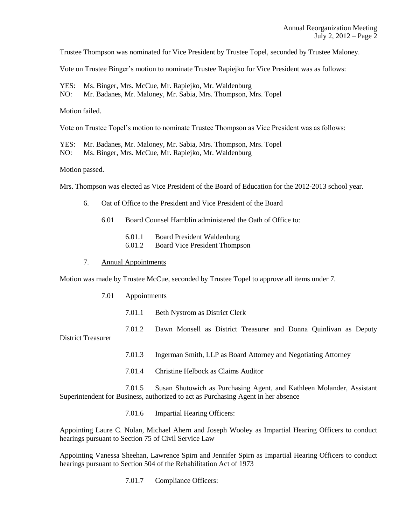Trustee Thompson was nominated for Vice President by Trustee Topel, seconded by Trustee Maloney.

Vote on Trustee Binger's motion to nominate Trustee Rapiejko for Vice President was as follows:

YES: Ms. Binger, Mrs. McCue, Mr. Rapiejko, Mr. Waldenburg

NO: Mr. Badanes, Mr. Maloney, Mr. Sabia, Mrs. Thompson, Mrs. Topel

Motion failed.

Vote on Trustee Topel's motion to nominate Trustee Thompson as Vice President was as follows:

YES: Mr. Badanes, Mr. Maloney, Mr. Sabia, Mrs. Thompson, Mrs. Topel

NO: Ms. Binger, Mrs. McCue, Mr. Rapiejko, Mr. Waldenburg

Motion passed.

Mrs. Thompson was elected as Vice President of the Board of Education for the 2012-2013 school year.

- 6. Oat of Office to the President and Vice President of the Board
	- 6.01 Board Counsel Hamblin administered the Oath of Office to:
		- 6.01.1 Board President Waldenburg
		- 6.01.2 Board Vice President Thompson

#### 7. Annual Appointments

Motion was made by Trustee McCue, seconded by Trustee Topel to approve all items under 7.

- 7.01 Appointments
	- 7.01.1 Beth Nystrom as District Clerk
	- 7.01.2 Dawn Monsell as District Treasurer and Donna Quinlivan as Deputy

District Treasurer

- 7.01.3 Ingerman Smith, LLP as Board Attorney and Negotiating Attorney
- 7.01.4 Christine Helbock as Claims Auditor

7.01.5 Susan Shutowich as Purchasing Agent, and Kathleen Molander, Assistant Superintendent for Business, authorized to act as Purchasing Agent in her absence

7.01.6 Impartial Hearing Officers:

Appointing Laure C. Nolan, Michael Ahern and Joseph Wooley as Impartial Hearing Officers to conduct hearings pursuant to Section 75 of Civil Service Law

Appointing Vanessa Sheehan, Lawrence Spirn and Jennifer Spirn as Impartial Hearing Officers to conduct hearings pursuant to Section 504 of the Rehabilitation Act of 1973

7.01.7 Compliance Officers: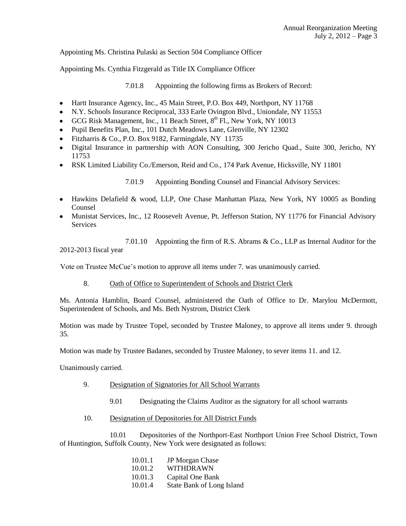Appointing Ms. Christina Pulaski as Section 504 Compliance Officer

Appointing Ms. Cynthia Fitzgerald as Title IX Compliance Officer

7.01.8 Appointing the following firms as Brokers of Record:

- Hartt Insurance Agency, Inc., 45 Main Street, P.O. Box 449, Northport, NY 11768  $\bullet$
- N.Y. Schools Insurance Reciprocal, 333 Earle Ovington Blvd., Uniondale, NY 11553
- GCG Risk Management, Inc., 11 Beach Street,  $8<sup>th</sup>$  Fl., New York, NY 10013
- Pupil Benefits Plan, Inc., 101 Dutch Meadows Lane, Glenville, NY 12302
- Fitzharris & Co., P.O. Box 9182, Farmingdale, NY 11735
- Digital Insurance in partnership with AON Consulting, 300 Jericho Quad., Suite 300, Jericho, NY 11753
- RSK Limited Liability Co./Emerson, Reid and Co., 174 Park Avenue, Hicksville, NY 11801

7.01.9 Appointing Bonding Counsel and Financial Advisory Services:

- Hawkins Delafield & wood, LLP, One Chase Manhattan Plaza, New York, NY 10005 as Bonding Counsel
- Munistat Services, Inc., 12 Roosevelt Avenue, Pt. Jefferson Station, NY 11776 for Financial Advisory **Services**

7.01.10 Appointing the firm of R.S. Abrams & Co., LLP as Internal Auditor for the 2012-2013 fiscal year

Vote on Trustee McCue's motion to approve all items under 7. was unanimously carried.

8. Oath of Office to Superintendent of Schools and District Clerk

Ms. Antonia Hamblin, Board Counsel, administered the Oath of Office to Dr. Marylou McDermott, Superintendent of Schools, and Ms. Beth Nystrom, District Clerk

Motion was made by Trustee Topel, seconded by Trustee Maloney, to approve all items under 9. through 35.

Motion was made by Trustee Badanes, seconded by Trustee Maloney, to sever items 11. and 12.

Unanimously carried.

- 9. Designation of Signatories for All School Warrants
	- 9.01 Designating the Claims Auditor as the signatory for all school warrants
- 10. Designation of Depositories for All District Funds

10.01 Depositories of the Northport-East Northport Union Free School District, Town of Huntington, Suffolk County, New York were designated as follows:

| 10.01.1 | <b>JP</b> Morgan Chase    |
|---------|---------------------------|
| 10.01.2 | <b>WITHDRAWN</b>          |
| 10.01.3 | Capital One Bank          |
| 10.01.4 | State Bank of Long Island |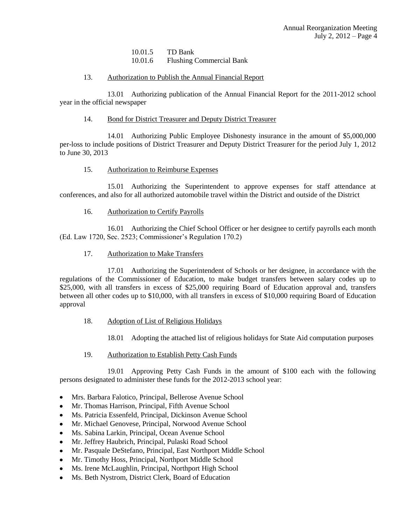10.01.5 TD Bank 10.01.6 Flushing Commercial Bank

#### 13. Authorization to Publish the Annual Financial Report

13.01 Authorizing publication of the Annual Financial Report for the 2011-2012 school year in the official newspaper

### 14. Bond for District Treasurer and Deputy District Treasurer

14.01 Authorizing Public Employee Dishonesty insurance in the amount of \$5,000,000 per-loss to include positions of District Treasurer and Deputy District Treasurer for the period July 1, 2012 to June 30, 2013

### 15. Authorization to Reimburse Expenses

15.01 Authorizing the Superintendent to approve expenses for staff attendance at conferences, and also for all authorized automobile travel within the District and outside of the District

## 16. Authorization to Certify Payrolls

16.01 Authorizing the Chief School Officer or her designee to certify payrolls each month (Ed. Law 1720, Sec. 2523; Commissioner's Regulation 170.2)

### 17. Authorization to Make Transfers

17.01 Authorizing the Superintendent of Schools or her designee, in accordance with the regulations of the Commissioner of Education, to make budget transfers between salary codes up to \$25,000, with all transfers in excess of \$25,000 requiring Board of Education approval and, transfers between all other codes up to \$10,000, with all transfers in excess of \$10,000 requiring Board of Education approval

## 18. Adoption of List of Religious Holidays

- 18.01 Adopting the attached list of religious holidays for State Aid computation purposes
- 19. Authorization to Establish Petty Cash Funds

19.01 Approving Petty Cash Funds in the amount of \$100 each with the following persons designated to administer these funds for the 2012-2013 school year:

- Mrs. Barbara Falotico, Principal, Bellerose Avenue School  $\bullet$
- Mr. Thomas Harrison, Principal, Fifth Avenue School  $\bullet$
- Ms. Patricia Essenfeld, Principal, Dickinson Avenue School  $\bullet$
- Mr. Michael Genovese, Principal, Norwood Avenue School
- Ms. Sabina Larkin, Principal, Ocean Avenue School
- Mr. Jeffrey Haubrich, Principal, Pulaski Road School
- Mr. Pasquale DeStefano, Principal, East Northport Middle School
- Mr. Timothy Hoss, Principal, Northport Middle School
- Ms. Irene McLaughlin, Principal, Northport High School
- Ms. Beth Nystrom, District Clerk, Board of Education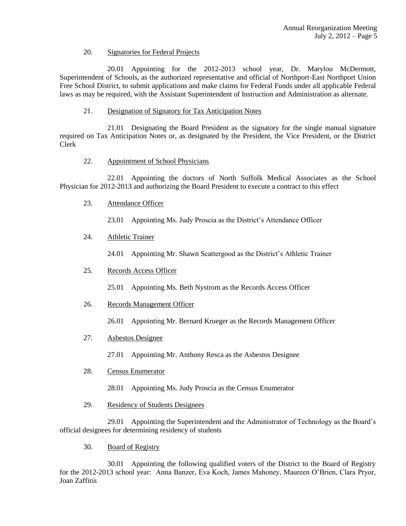### 20. Signatories for Federal Projects

20.01 Appointing for the 2012-2013 school year, Dr. Marylou McDermott, Superintendent of Schools, as the authorized representative and official of Northport-East Northport Union Free School District, to submit applications and make claims for Federal Funds under all applicable Federal laws as may be required, with the Assistant Superintendent of Instruction and Administration as alternate.

21. Designation of Signatory for Tax Anticipation Notes

21.01 Designating the Board President as the signatory for the single manual signature required on Tax Anticipation Notes or, as designated by the President, the Vice President, or the District Clerk

# 22. Appointment of School Physicians

22.01 Appointing the doctors of North Suffolk Medical Associates as the School Physician for 2012-2013 and authorizing the Board President to execute a contract to this effect

23. Attendance Officer

23.01 Appointing Ms. Judy Proscia as the District's Attendance Officer

# 24. Athletic Trainer

24.01 Appointing Mr. Shawn Scattergood as the District's Athletic Trainer

# 25. Records Access Officer

25.01 Appointing Ms. Beth Nystrom as the Records Access Officer

26. Records Management Officer

26.01 Appointing Mr. Bernard Krueger as the Records Management Officer

27. Asbestos Designee

27.01 Appointing Mr. Anthony Resca as the Asbestos Designee

- 28. Census Enumerator
	- 28.01 Appointing Ms. Judy Proscia as the Census Enumerator
- 29. Residency of Students Designees

29.01 Appointing the Superintendent and the Administrator of Technology as the Board's official designees for determining residency of students

30. Board of Registry

30.01 Appointing the following qualified voters of the District to the Board of Registry for the 2012-2013 school year: Anna Banzer, Eva Koch, James Mahoney, Maureen O'Brien, Clara Pryor, Joan Zaffiris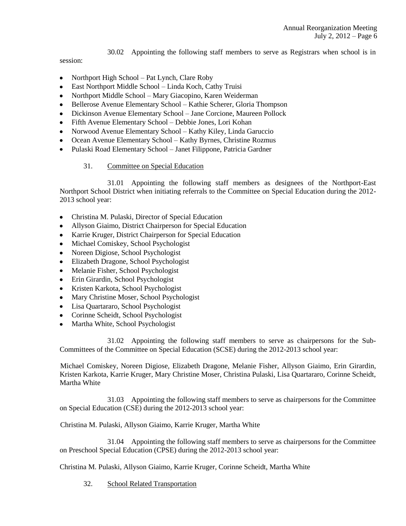30.02 Appointing the following staff members to serve as Registrars when school is in

session:

- Northport High School Pat Lynch, Clare Roby  $\bullet$
- East Northport Middle School Linda Koch, Cathy Truisi
- Northport Middle School Mary Giacopino, Karen Weiderman
- Bellerose Avenue Elementary School Kathie Scherer, Gloria Thompson
- Dickinson Avenue Elementary School Jane Corcione, Maureen Pollock
- Fifth Avenue Elementary School Debbie Jones, Lori Kohan
- Norwood Avenue Elementary School Kathy Kiley, Linda Garuccio
- Ocean Avenue Elementary School Kathy Byrnes, Christine Rozmus
- Pulaski Road Elementary School Janet Filippone, Patricia Gardner

## 31. Committee on Special Education

31.01 Appointing the following staff members as designees of the Northport-East Northport School District when initiating referrals to the Committee on Special Education during the 2012- 2013 school year:

- Christina M. Pulaski, Director of Special Education
- Allyson Giaimo, District Chairperson for Special Education  $\bullet$
- Karrie Kruger, District Chairperson for Special Education
- Michael Comiskey, School Psychologist
- Noreen Digiose, School Psychologist
- Elizabeth Dragone, School Psychologist
- Melanie Fisher, School Psychologist
- Erin Girardin, School Psychologist
- Kristen Karkota, School Psychologist
- Mary Christine Moser, School Psychologist
- Lisa Quartararo, School Psychologist
- Corinne Scheidt, School Psychologist
- Martha White, School Psychologist

31.02 Appointing the following staff members to serve as chairpersons for the Sub-Committees of the Committee on Special Education (SCSE) during the 2012-2013 school year:

Michael Comiskey, Noreen Digiose, Elizabeth Dragone, Melanie Fisher, Allyson Giaimo, Erin Girardin, Kristen Karkota, Karrie Kruger, Mary Christine Moser, Christina Pulaski, Lisa Quartararo, Corinne Scheidt, Martha White

31.03 Appointing the following staff members to serve as chairpersons for the Committee on Special Education (CSE) during the 2012-2013 school year:

Christina M. Pulaski, Allyson Giaimo, Karrie Kruger, Martha White

31.04 Appointing the following staff members to serve as chairpersons for the Committee on Preschool Special Education (CPSE) during the 2012-2013 school year:

Christina M. Pulaski, Allyson Giaimo, Karrie Kruger, Corinne Scheidt, Martha White

32. School Related Transportation